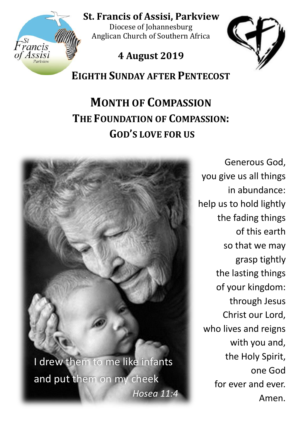

**St. Francis of Assisi, Parkview** 

Diocese of Johannesburg Anglican Church of Southern Africa

## **4 August 2019**



**EIGHTH SUNDAY AFTER PENTECOST**

# **MONTH OF COMPASSION THE FOUNDATION OF COMPASSION: GOD'S LOVE FOR US**



Generous God, you give us all things in abundance: help us to hold lightly the fading things of this earth so that we may grasp tightly the lasting things of your kingdom: through Jesus Christ our Lord, who lives and reigns with you and, the Holy Spirit, one God for ever and ever. Amen.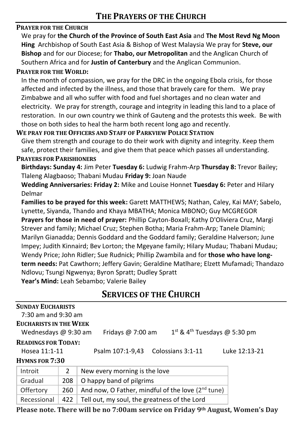#### **PRAYER FOR THE CHURCH**

We pray for **the Church of the Province of South East Asia** and **The Most Revd Ng Moon Hing** Archbishop of South East Asia & Bishop of West Malaysia We pray for **Steve, our Bishop** and for our Diocese; for **Thabo, our Metropolitan** and the Anglican Church of Southern Africa and for **Justin of Canterbury** and the Anglican Communion.

#### **PRAYER FOR THE WORLD:**

In the month of compassion, we pray for the DRC in the ongoing Ebola crisis, for those affected and infected by the illness, and those that bravely care for them. We pray Zimbabwe and all who suffer with food and fuel shortages and no clean water and electricity. We pray for strength, courage and integrity in leading this land to a place of restoration. In our own country we think of Gauteng and the protests this week. Be with those on both sides to heal the harm both recent long ago and recently.

#### **WE PRAY FOR THE OFFICERS AND STAFF OF PARKVIEW POLICE STATION**

Give them strength and courage to do their work with dignity and integrity. Keep them safe, protect their families, and give them that peace which passes all understanding. **PRAYERS FOR PARISHIONERS**

## **Birthdays: Sunday 4:** Jim Peter **Tuesday 6:** Ludwig Frahm-Arp **Thursday 8:** Trevor Bailey;

Tlaleng Alagbaoso; Thabani Mudau **Friday 9:** Joan Naude

**Wedding Anniversaries: Friday 2:** Mike and Louise Honnet **Tuesday 6:** Peter and Hilary Delmar

**Families to be prayed for this week:** Garett MATTHEWS; Nathan, Caley, Kai MAY; Sabelo, Lynette, Siyanda, Thando and Khaya MBATHA; Monica MBONO; Guy MCGREGOR

**Prayers for those in need of prayer:** Phillip Cayton-Boxall; Kathy D'Oliviera Cruz, Margi Strever and family; Michael Cruz; Stephen Botha; Maria Frahm-Arp; Tanele Dlamini; Marilyn Gianadda; Dennis Goddard and the Goddard family; Geraldine Halverson; June Impey; Judith Kinnaird; Bev Lorton; the Mgeyane family; Hilary Mudau; Thabani Mudau; Wendy Price; John Ridler; Sue Rudnick; Phillip Zwambila and for **those who have longterm needs:** Pat Cawthorn; Jeffery Gavin; Geraldine Matlhare; Elzett Mufamadi; Thandazo Ndlovu; Tsungi Ngwenya; Byron Spratt; Dudley Spratt **Year's Mind:** Leah Sebambo; Valerie Bailey

**SERVICES OF THE CHURCH**

| <b>SUNDAY EUCHARISTS</b>      |                                            |                                                               |               |  |  |  |  |  |
|-------------------------------|--------------------------------------------|---------------------------------------------------------------|---------------|--|--|--|--|--|
| $7:30$ am and 9:30 am         |                                            |                                                               |               |  |  |  |  |  |
| <b>EUCHARISTS IN THE WEEK</b> |                                            |                                                               |               |  |  |  |  |  |
| Wednesdays $@9:30$ am         | $1st$ & 4 <sup>th</sup> Tuesdays @ 5:30 pm |                                                               |               |  |  |  |  |  |
| <b>READINGS FOR TODAY:</b>    |                                            |                                                               |               |  |  |  |  |  |
| Hosea 11:1-11                 |                                            | Psalm 107:1-9,43<br>Colossians 3:1-11                         | Luke 12:13-21 |  |  |  |  |  |
| <b>HYMNS FOR 7:30</b>         |                                            |                                                               |               |  |  |  |  |  |
| Introit                       | 2                                          | New every morning is the love                                 |               |  |  |  |  |  |
| Gradual                       | 208                                        | O happy band of pilgrims                                      |               |  |  |  |  |  |
| Offertory                     | 260                                        | And now, O Father, mindful of the love (2 <sup>nd</sup> tune) |               |  |  |  |  |  |

Recessional  $\vert$  422  $\vert$  Tell out, my soul, the greatness of the Lord

**Please note. There will be no 7:00am service on Friday 9th August, Women's Day**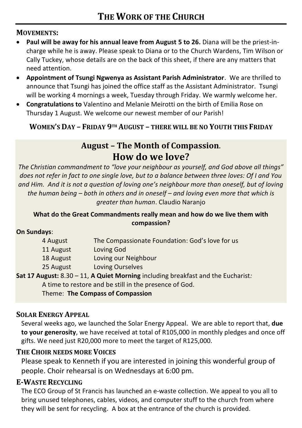#### **MOVEMENTS:**

- **Paul will be away for his annual leave from August 5 to 26.** Diana will be the priest-incharge while he is away. Please speak to Diana or to the Church Wardens, Tim Wilson or Cally Tuckey, whose details are on the back of this sheet, if there are any matters that need attention.
- **Appointment of Tsungi Ngwenya as Assistant Parish Administrator**. We are thrilled to announce that Tsungi has joined the office staff as the Assistant Administrator. Tsungi will be working 4 mornings a week, Tuesday through Friday. We warmly welcome her.
- **Congratulations to** Valentino and Melanie Meirotti on the birth of Emilia Rose on Thursday 1 August. We welcome our newest member of our Parish!

**WOMEN'S DAY – FRIDAY 9TH AUGUST – THERE WILL BE NO YOUTH THIS FRIDAY**

### **August – The Month of Compassion**. **How do we love?**

*The Christian commandment to "love your neighbour as yourself, and God above all things" does not refer in fact to one single love, but to a balance between three loves: Of I and You and Him. And it is not a question of loving one's neighbour more than oneself, but of loving the human being – both in others and in oneself – and loving even more that which is greater than human*. Claudio Naranjo

#### **What do the Great Commandments really mean and how do we live them with compassion?**

#### **On Sundays**:

| 4 August  | The Compassionate Foundation: God's love for us |
|-----------|-------------------------------------------------|
| 11 August | Loving God                                      |
| 18 August | Loving our Neighbour                            |
| 25 August | Loving Ourselves                                |
|           |                                                 |

**Sat 17 August:** 8.30 – 11, **A Quiet Morning** including breakfast and the Eucharist*:*  A time to restore and be still in the presence of God.

Theme: **The Compass of Compassion** 

#### **SOLAR ENERGY APPEAL**

Several weeks ago, we launched the Solar Energy Appeal. We are able to report that, **due to your generosity**, we have received at total of R105,000 in monthly pledges and once off gifts. We need just R20,000 more to meet the target of R125,000.

#### **THE CHOIR NEEDS MORE VOICES**

Please speak to Kenneth if you are interested in joining this wonderful group of people. Choir rehearsal is on Wednesdays at 6:00 pm.

#### **E-WASTE RECYCLING**

The ECO Group of St Francis has launched an e-waste collection. We appeal to you all to bring unused telephones, cables, videos, and computer stuff to the church from where they will be sent for recycling. A box at the entrance of the church is provided.